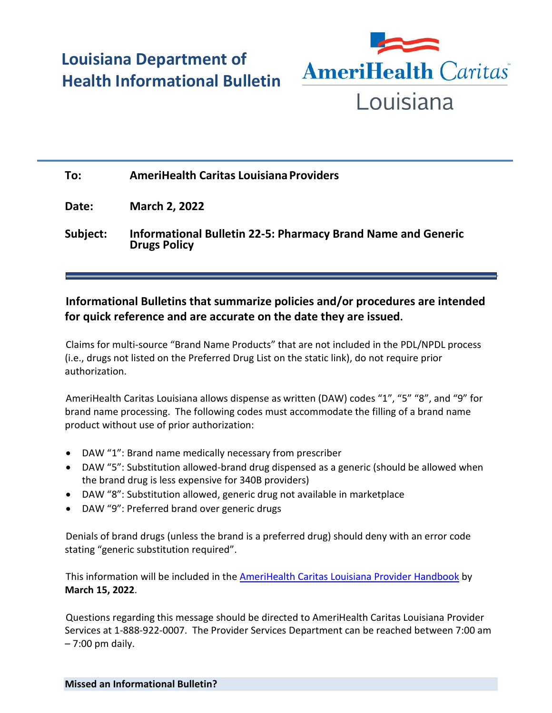## **Louisiana Department of Health Informational Bulletin**



## **To: AmeriHealth Caritas Louisiana Providers Date: March 2, 2022 Subject: Informational Bulletin 22-5: Pharmacy Brand Name and Generic Drugs Policy**

## **Informational Bulletins that summarize policies and/or procedures are intended for quick reference and are accurate on the date they are issued.**

Claims for multi-source "Brand Name Products" that are not included in the PDL/NPDL process (i.e., drugs not listed on the Preferred Drug List on the static link), do not require prior authorization.

AmeriHealth Caritas Louisiana allows dispense as written (DAW) codes "1", "5" "8", and "9" for brand name processing. The following codes must accommodate the filling of a brand name product without use of prior authorization:

- DAW "1": Brand name medically necessary from prescriber
- DAW "5": Substitution allowed-brand drug dispensed as a generic (should be allowed when the brand drug is less expensive for 340B providers)
- DAW "8": Substitution allowed, generic drug not available in marketplace
- DAW "9": Preferred brand over generic drugs

Denials of brand drugs (unless the brand is a preferred drug) should deny with an error code stating "generic substitution required".

This information will be included in the [AmeriHealth Caritas Louisiana Provider Handbook](https://www.amerihealthcaritasla.com/provider/resources/manual/index.aspx) by **March 15, 2022**.

Questions regarding this message should be directed to AmeriHealth Caritas Louisiana Provider Services at 1-888-922-0007. The Provider Services Department can be reached between 7:00 am – 7:00 pm daily.